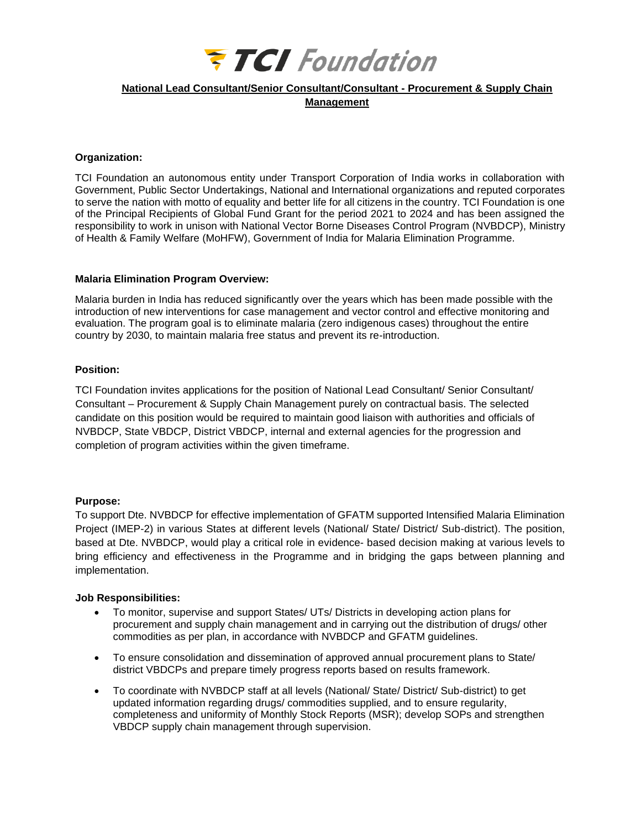

# **National Lead Consultant/Senior Consultant/Consultant - Procurement & Supply Chain Management**

# **Organization:**

TCI Foundation an autonomous entity under Transport Corporation of India works in collaboration with Government, Public Sector Undertakings, National and International organizations and reputed corporates to serve the nation with motto of equality and better life for all citizens in the country. TCI Foundation is one of the Principal Recipients of Global Fund Grant for the period 2021 to 2024 and has been assigned the responsibility to work in unison with National Vector Borne Diseases Control Program (NVBDCP), Ministry of Health & Family Welfare (MoHFW), Government of India for Malaria Elimination Programme.

# **Malaria Elimination Program Overview:**

Malaria burden in India has reduced significantly over the years which has been made possible with the introduction of new interventions for case management and vector control and effective monitoring and evaluation. The program goal is to eliminate malaria (zero indigenous cases) throughout the entire country by 2030, to maintain malaria free status and prevent its re-introduction.

# **Position:**

TCI Foundation invites applications for the position of National Lead Consultant/ Senior Consultant/ Consultant – Procurement & Supply Chain Management purely on contractual basis. The selected candidate on this position would be required to maintain good liaison with authorities and officials of NVBDCP, State VBDCP, District VBDCP, internal and external agencies for the progression and completion of program activities within the given timeframe.

# **Purpose:**

To support Dte. NVBDCP for effective implementation of GFATM supported Intensified Malaria Elimination Project (IMEP-2) in various States at different levels (National/ State/ District/ Sub-district). The position, based at Dte. NVBDCP, would play a critical role in evidence- based decision making at various levels to bring efficiency and effectiveness in the Programme and in bridging the gaps between planning and implementation.

# **Job Responsibilities:**

- To monitor, supervise and support States/ UTs/ Districts in developing action plans for procurement and supply chain management and in carrying out the distribution of drugs/ other commodities as per plan, in accordance with NVBDCP and GFATM guidelines.
- To ensure consolidation and dissemination of approved annual procurement plans to State/ district VBDCPs and prepare timely progress reports based on results framework.
- To coordinate with NVBDCP staff at all levels (National/ State/ District/ Sub-district) to get updated information regarding drugs/ commodities supplied, and to ensure regularity, completeness and uniformity of Monthly Stock Reports (MSR); develop SOPs and strengthen VBDCP supply chain management through supervision.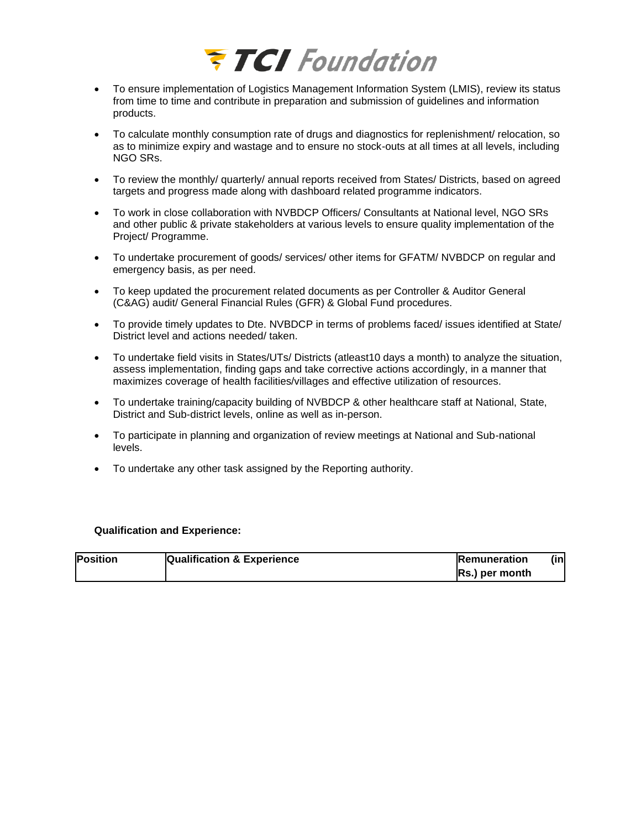

- To ensure implementation of Logistics Management Information System (LMIS), review its status from time to time and contribute in preparation and submission of guidelines and information products.
- To calculate monthly consumption rate of drugs and diagnostics for replenishment/ relocation, so as to minimize expiry and wastage and to ensure no stock-outs at all times at all levels, including NGO SRs.
- To review the monthly/ quarterly/ annual reports received from States/ Districts, based on agreed targets and progress made along with dashboard related programme indicators.
- To work in close collaboration with NVBDCP Officers/ Consultants at National level, NGO SRs and other public & private stakeholders at various levels to ensure quality implementation of the Project/ Programme.
- To undertake procurement of goods/ services/ other items for GFATM/ NVBDCP on regular and emergency basis, as per need.
- To keep updated the procurement related documents as per Controller & Auditor General (C&AG) audit/ General Financial Rules (GFR) & Global Fund procedures.
- To provide timely updates to Dte. NVBDCP in terms of problems faced/ issues identified at State/ District level and actions needed/ taken.
- To undertake field visits in States/UTs/ Districts (atleast10 days a month) to analyze the situation, assess implementation, finding gaps and take corrective actions accordingly, in a manner that maximizes coverage of health facilities/villages and effective utilization of resources.
- To undertake training/capacity building of NVBDCP & other healthcare staff at National, State, District and Sub-district levels, online as well as in-person.
- To participate in planning and organization of review meetings at National and Sub-national levels.
- To undertake any other task assigned by the Reporting authority.

# **Qualification and Experience:**

| <b>Position</b> | <b>Qualification &amp; Experience</b> | <b>Remuneration</b><br>(inl |
|-----------------|---------------------------------------|-----------------------------|
|                 |                                       | Rs.) per month              |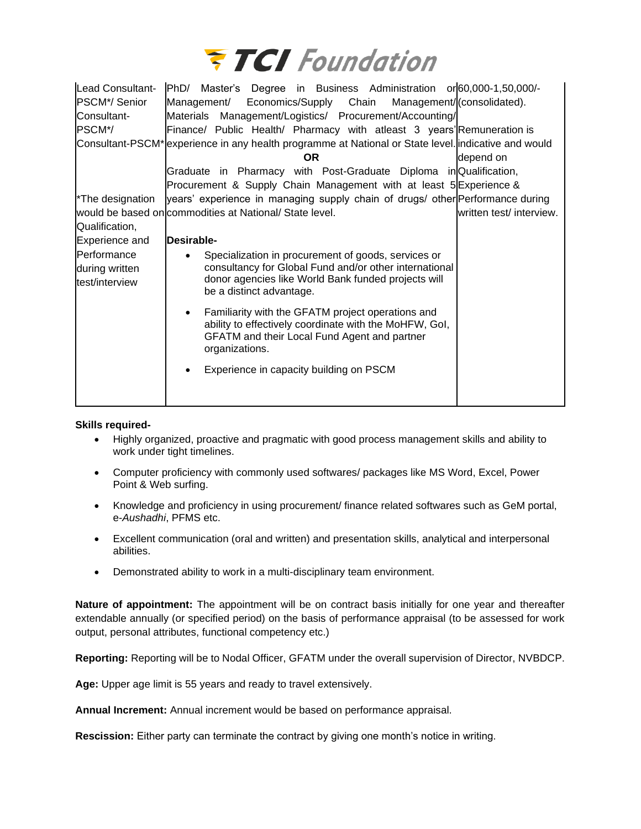

| Lead Consultant-                                                                    | PhD/ Master's Degree in Business Administration or 60,000-1,50,000/-                                                                                                                             |  |  |
|-------------------------------------------------------------------------------------|--------------------------------------------------------------------------------------------------------------------------------------------------------------------------------------------------|--|--|
| PSCM <sup>*</sup> / Senior                                                          | Management/(consolidated).<br>Management/<br>Economics/Supply Chain                                                                                                                              |  |  |
| Consultant-                                                                         | Materials Management/Logistics/ Procurement/Accounting/                                                                                                                                          |  |  |
| PSCM*/                                                                              | Finance/ Public Health/ Pharmacy with atleast 3 years' Remuneration is                                                                                                                           |  |  |
|                                                                                     | Consultant-PSCM* experience in any health programme at National or State level. indicative and would                                                                                             |  |  |
|                                                                                     | OR.<br>depend on                                                                                                                                                                                 |  |  |
|                                                                                     | Graduate in Pharmacy with Post-Graduate Diploma inQualification,                                                                                                                                 |  |  |
|                                                                                     | Procurement & Supply Chain Management with at least 5 Experience &                                                                                                                               |  |  |
| *The designation                                                                    | years' experience in managing supply chain of drugs/ other Performance during                                                                                                                    |  |  |
| written test/ interview.<br>would be based on commodities at National/ State level. |                                                                                                                                                                                                  |  |  |
| Qualification,                                                                      |                                                                                                                                                                                                  |  |  |
| Experience and                                                                      | Desirable-                                                                                                                                                                                       |  |  |
| Performance<br>during written<br>test/interview                                     | Specialization in procurement of goods, services or<br>consultancy for Global Fund and/or other international<br>donor agencies like World Bank funded projects will<br>be a distinct advantage. |  |  |
|                                                                                     | Familiarity with the GFATM project operations and<br>ability to effectively coordinate with the MoHFW, Gol,<br>GFATM and their Local Fund Agent and partner<br>organizations.                    |  |  |
|                                                                                     | Experience in capacity building on PSCM                                                                                                                                                          |  |  |

**Skills required-**

- Highly organized, proactive and pragmatic with good process management skills and ability to work under tight timelines.
- Computer proficiency with commonly used softwares/ packages like MS Word, Excel, Power Point & Web surfing.
- Knowledge and proficiency in using procurement/ finance related softwares such as GeM portal, e-*Aushadhi*, PFMS etc.
- Excellent communication (oral and written) and presentation skills, analytical and interpersonal abilities.
- Demonstrated ability to work in a multi-disciplinary team environment.

**Nature of appointment:** The appointment will be on contract basis initially for one year and thereafter extendable annually (or specified period) on the basis of performance appraisal (to be assessed for work output, personal attributes, functional competency etc.)

**Reporting:** Reporting will be to Nodal Officer, GFATM under the overall supervision of Director, NVBDCP.

**Age:** Upper age limit is 55 years and ready to travel extensively.

**Annual Increment:** Annual increment would be based on performance appraisal.

**Rescission:** Either party can terminate the contract by giving one month's notice in writing.